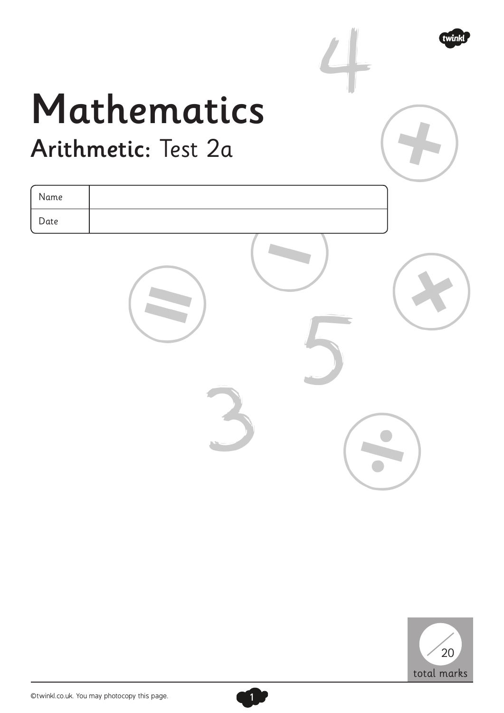

## Mathematics Arithmetic: Test 2a

| Name |  |  |
|------|--|--|
| Date |  |  |
|      |  |  |



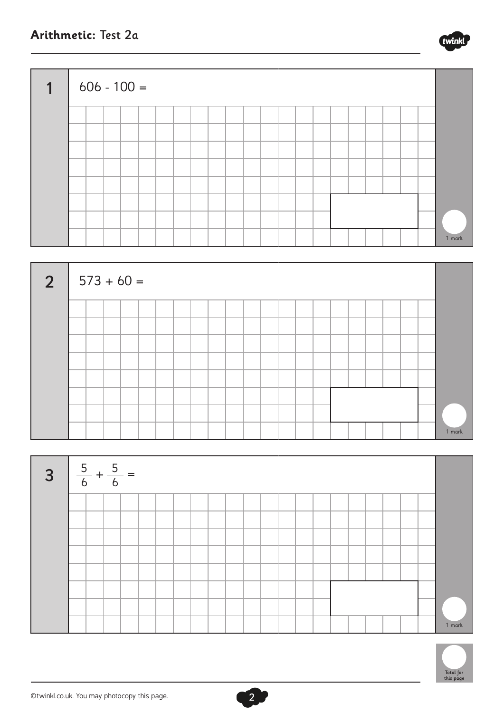





 $\boxed{2}$ 



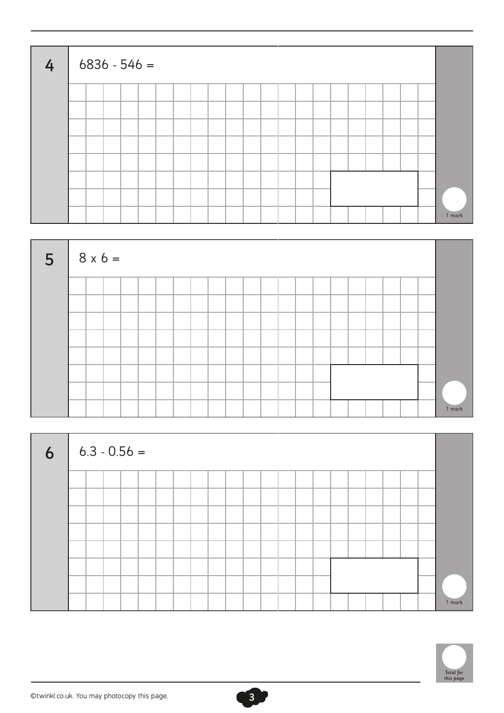| $\overline{4}$ | $6836 - 546 =$ |  |  |  |  |  |  |  |  |  |        |
|----------------|----------------|--|--|--|--|--|--|--|--|--|--------|
|                |                |  |  |  |  |  |  |  |  |  |        |
|                |                |  |  |  |  |  |  |  |  |  |        |
|                |                |  |  |  |  |  |  |  |  |  |        |
|                |                |  |  |  |  |  |  |  |  |  |        |
|                |                |  |  |  |  |  |  |  |  |  |        |
|                |                |  |  |  |  |  |  |  |  |  |        |
|                |                |  |  |  |  |  |  |  |  |  |        |
|                |                |  |  |  |  |  |  |  |  |  | 1 mark |



| $6 \mid 6.3 - 0.56 =$ |  |  |  |  |  |  |  |  |  |  |        |
|-----------------------|--|--|--|--|--|--|--|--|--|--|--------|
|                       |  |  |  |  |  |  |  |  |  |  |        |
|                       |  |  |  |  |  |  |  |  |  |  |        |
|                       |  |  |  |  |  |  |  |  |  |  |        |
|                       |  |  |  |  |  |  |  |  |  |  |        |
|                       |  |  |  |  |  |  |  |  |  |  |        |
|                       |  |  |  |  |  |  |  |  |  |  |        |
|                       |  |  |  |  |  |  |  |  |  |  |        |
|                       |  |  |  |  |  |  |  |  |  |  | 1 mark |

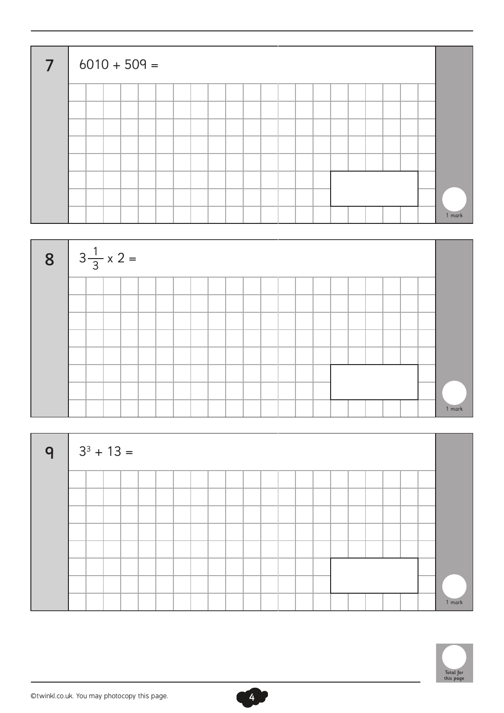| $\overline{7}$ |  |  | $6010 + 509 =$ |  |  |  |  |  |  |  |  |        |
|----------------|--|--|----------------|--|--|--|--|--|--|--|--|--------|
|                |  |  |                |  |  |  |  |  |  |  |  |        |
|                |  |  |                |  |  |  |  |  |  |  |  |        |
|                |  |  |                |  |  |  |  |  |  |  |  |        |
|                |  |  |                |  |  |  |  |  |  |  |  |        |
|                |  |  |                |  |  |  |  |  |  |  |  |        |
|                |  |  |                |  |  |  |  |  |  |  |  |        |
|                |  |  |                |  |  |  |  |  |  |  |  |        |
|                |  |  |                |  |  |  |  |  |  |  |  | 1 mark |



| $ 9 $ 3 <sup>3</sup> + 13 = |  |  |  |  |  |  |  |  |  |        |
|-----------------------------|--|--|--|--|--|--|--|--|--|--------|
|                             |  |  |  |  |  |  |  |  |  |        |
|                             |  |  |  |  |  |  |  |  |  |        |
|                             |  |  |  |  |  |  |  |  |  |        |
|                             |  |  |  |  |  |  |  |  |  |        |
|                             |  |  |  |  |  |  |  |  |  |        |
|                             |  |  |  |  |  |  |  |  |  |        |
|                             |  |  |  |  |  |  |  |  |  |        |
|                             |  |  |  |  |  |  |  |  |  | 1 mark |



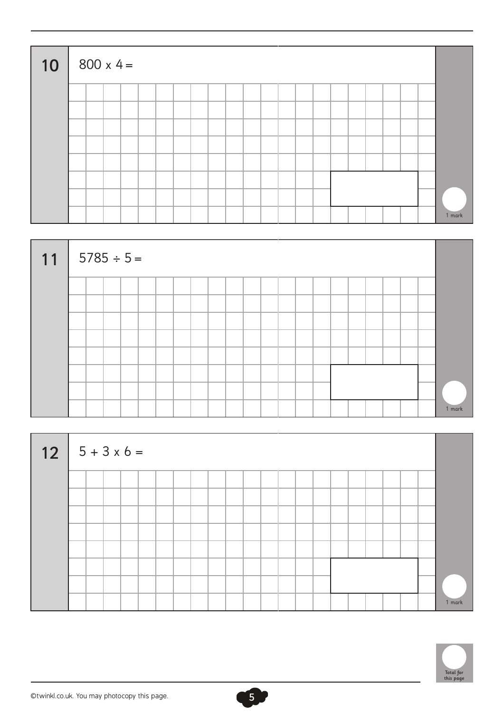| $10   800 \times 4 =$ |  |  |  |  |  |  |  |  |  |  |        |
|-----------------------|--|--|--|--|--|--|--|--|--|--|--------|
|                       |  |  |  |  |  |  |  |  |  |  |        |
|                       |  |  |  |  |  |  |  |  |  |  |        |
|                       |  |  |  |  |  |  |  |  |  |  |        |
|                       |  |  |  |  |  |  |  |  |  |  |        |
|                       |  |  |  |  |  |  |  |  |  |  |        |
|                       |  |  |  |  |  |  |  |  |  |  |        |
|                       |  |  |  |  |  |  |  |  |  |  |        |
|                       |  |  |  |  |  |  |  |  |  |  | 1 mark |



| $12 \mid 5 + 3 \times 6 =$ |  |  |  |  |  |  |  |  |  |  |        |
|----------------------------|--|--|--|--|--|--|--|--|--|--|--------|
|                            |  |  |  |  |  |  |  |  |  |  |        |
|                            |  |  |  |  |  |  |  |  |  |  |        |
|                            |  |  |  |  |  |  |  |  |  |  |        |
|                            |  |  |  |  |  |  |  |  |  |  |        |
|                            |  |  |  |  |  |  |  |  |  |  |        |
|                            |  |  |  |  |  |  |  |  |  |  |        |
|                            |  |  |  |  |  |  |  |  |  |  |        |
|                            |  |  |  |  |  |  |  |  |  |  | 1 mark |

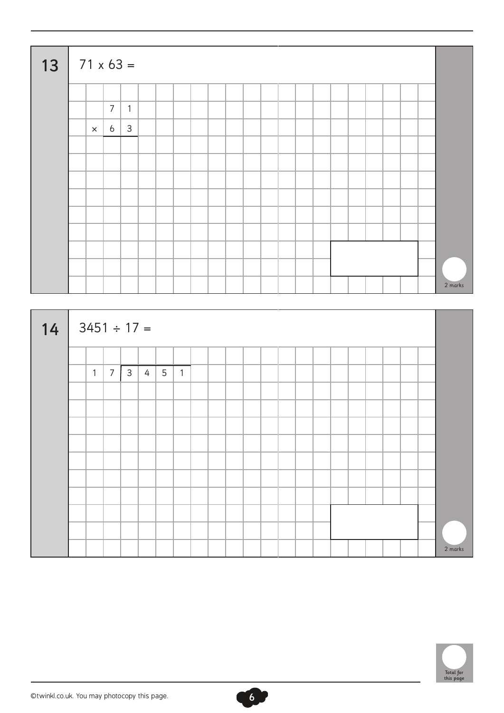| 13 | $  71 \times 63 =$ |                 |              |  |  |  |  |  |  |  |  |         |
|----|--------------------|-----------------|--------------|--|--|--|--|--|--|--|--|---------|
|    |                    |                 |              |  |  |  |  |  |  |  |  |         |
|    |                    | $\overline{7}$  | $\mathbf{1}$ |  |  |  |  |  |  |  |  |         |
|    | $\times$           | $6\overline{6}$ | $\mathbf{3}$ |  |  |  |  |  |  |  |  |         |
|    |                    |                 |              |  |  |  |  |  |  |  |  |         |
|    |                    |                 |              |  |  |  |  |  |  |  |  |         |
|    |                    |                 |              |  |  |  |  |  |  |  |  |         |
|    |                    |                 |              |  |  |  |  |  |  |  |  |         |
|    |                    |                 |              |  |  |  |  |  |  |  |  |         |
|    |                    |                 |              |  |  |  |  |  |  |  |  |         |
|    |                    |                 |              |  |  |  |  |  |  |  |  |         |
|    |                    |                 |              |  |  |  |  |  |  |  |  |         |
|    |                    |                 |              |  |  |  |  |  |  |  |  | 2 marks |

| 14 | $3451 \div 17 =$ |              |                 |              |   |                 |                |  |  |  |  |  |  |  |         |
|----|------------------|--------------|-----------------|--------------|---|-----------------|----------------|--|--|--|--|--|--|--|---------|
|    |                  |              |                 |              |   |                 |                |  |  |  |  |  |  |  |         |
|    |                  | $\mathbf{1}$ | $7\overline{ }$ | $\mathsf{3}$ | 4 | $5\overline{)}$ | $\overline{1}$ |  |  |  |  |  |  |  |         |
|    |                  |              |                 |              |   |                 |                |  |  |  |  |  |  |  |         |
|    |                  |              |                 |              |   |                 |                |  |  |  |  |  |  |  |         |
|    |                  |              |                 |              |   |                 |                |  |  |  |  |  |  |  |         |
|    |                  |              |                 |              |   |                 |                |  |  |  |  |  |  |  |         |
|    |                  |              |                 |              |   |                 |                |  |  |  |  |  |  |  |         |
|    |                  |              |                 |              |   |                 |                |  |  |  |  |  |  |  |         |
|    |                  |              |                 |              |   |                 |                |  |  |  |  |  |  |  |         |
|    |                  |              |                 |              |   |                 |                |  |  |  |  |  |  |  |         |
|    |                  |              |                 |              |   |                 |                |  |  |  |  |  |  |  |         |
|    |                  |              |                 |              |   |                 |                |  |  |  |  |  |  |  | 2 marks |

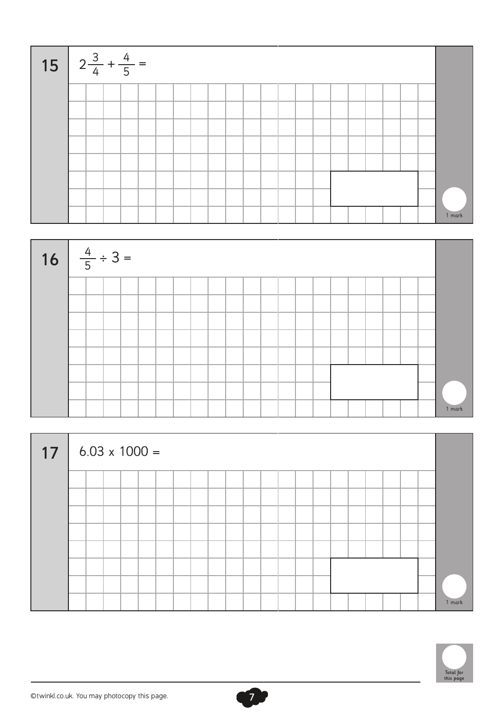| 15 $2\frac{3}{4} + \frac{4}{5} =$ |  |  |  |  |  |  |  |  |  |  |        |
|-----------------------------------|--|--|--|--|--|--|--|--|--|--|--------|
|                                   |  |  |  |  |  |  |  |  |  |  |        |
|                                   |  |  |  |  |  |  |  |  |  |  |        |
|                                   |  |  |  |  |  |  |  |  |  |  |        |
|                                   |  |  |  |  |  |  |  |  |  |  |        |
|                                   |  |  |  |  |  |  |  |  |  |  |        |
|                                   |  |  |  |  |  |  |  |  |  |  |        |
|                                   |  |  |  |  |  |  |  |  |  |  |        |
|                                   |  |  |  |  |  |  |  |  |  |  | 1 mark |



| 17 |  |  | $6.03 \times 1000 =$ |  |  |  |  |  |  |  |  |        |
|----|--|--|----------------------|--|--|--|--|--|--|--|--|--------|
|    |  |  |                      |  |  |  |  |  |  |  |  |        |
|    |  |  |                      |  |  |  |  |  |  |  |  |        |
|    |  |  |                      |  |  |  |  |  |  |  |  |        |
|    |  |  |                      |  |  |  |  |  |  |  |  |        |
|    |  |  |                      |  |  |  |  |  |  |  |  |        |
|    |  |  |                      |  |  |  |  |  |  |  |  |        |
|    |  |  |                      |  |  |  |  |  |  |  |  |        |
|    |  |  |                      |  |  |  |  |  |  |  |  | 1 mark |



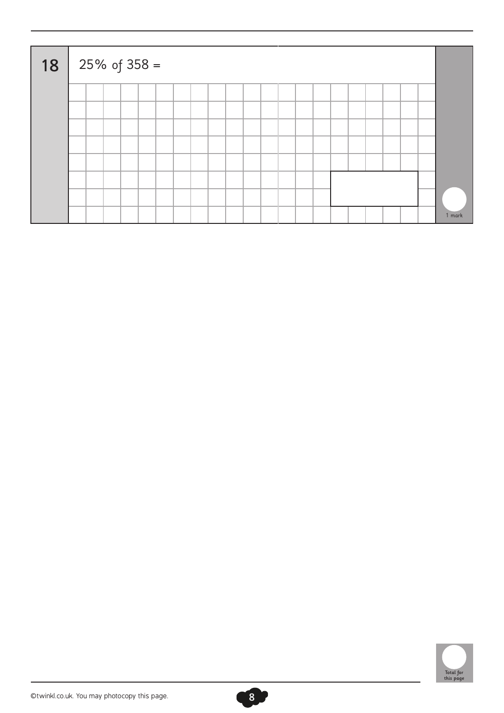| 18 | 25% of 358 = |  |  |  |  |  |  |  |  |  |  |        |
|----|--------------|--|--|--|--|--|--|--|--|--|--|--------|
|    |              |  |  |  |  |  |  |  |  |  |  |        |
|    |              |  |  |  |  |  |  |  |  |  |  |        |
|    |              |  |  |  |  |  |  |  |  |  |  |        |
|    |              |  |  |  |  |  |  |  |  |  |  |        |
|    |              |  |  |  |  |  |  |  |  |  |  |        |
|    |              |  |  |  |  |  |  |  |  |  |  |        |
|    |              |  |  |  |  |  |  |  |  |  |  |        |
|    |              |  |  |  |  |  |  |  |  |  |  | 1 mark |